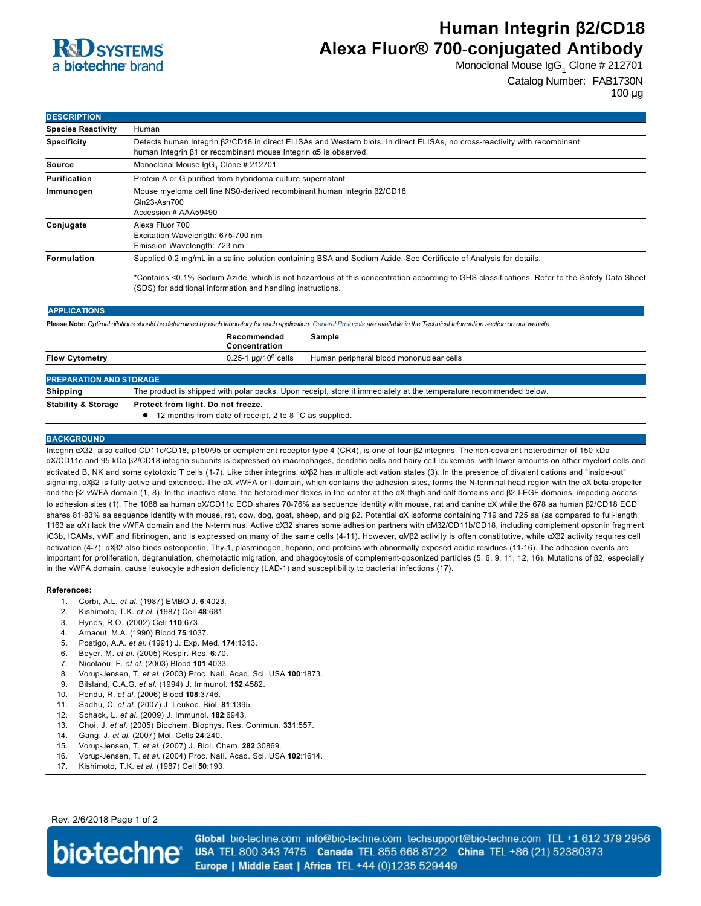

# **Human Integrin β2/CD18 Alexa Fluor® 700-conjugated Antibody**

Monoclonal Mouse IgG<sub>1</sub> Clone # 212701

## Catalog Number: FAB1730N

100 µg

| <b>DESCRIPTION</b>                                                                                                                                                                |                                                                                                                                                                                                                                                                                                                                 |
|-----------------------------------------------------------------------------------------------------------------------------------------------------------------------------------|---------------------------------------------------------------------------------------------------------------------------------------------------------------------------------------------------------------------------------------------------------------------------------------------------------------------------------|
| <b>Species Reactivity</b>                                                                                                                                                         | Human                                                                                                                                                                                                                                                                                                                           |
| <b>Specificity</b>                                                                                                                                                                | Detects human Integrin $\beta$ 2/CD18 in direct ELISAs and Western blots. In direct ELISAs, no cross-reactivity with recombinant<br>human Integrin $\beta$ 1 or recombinant mouse Integrin $\alpha$ 5 is observed.                                                                                                              |
| <b>Source</b>                                                                                                                                                                     | Monoclonal Mouse IgG <sub>1</sub> Clone # 212701                                                                                                                                                                                                                                                                                |
| <b>Purification</b>                                                                                                                                                               | Protein A or G purified from hybridoma culture supernatant                                                                                                                                                                                                                                                                      |
| Immunogen                                                                                                                                                                         | Mouse myeloma cell line NS0-derived recombinant human Integrin $\beta$ 2/CD18<br>Gln23-Asn700<br>Accession # AAA59490                                                                                                                                                                                                           |
| Conjugate                                                                                                                                                                         | Alexa Fluor 700<br>Excitation Wavelength: 675-700 nm<br>Emission Wavelength: 723 nm                                                                                                                                                                                                                                             |
| <b>Formulation</b>                                                                                                                                                                | Supplied 0.2 mg/mL in a saline solution containing BSA and Sodium Azide. See Certificate of Analysis for details.<br>*Contains <0.1% Sodium Azide, which is not hazardous at this concentration according to GHS classifications. Refer to the Safety Data Sheet<br>(SDS) for additional information and handling instructions. |
| <b>APPLICATIONS</b>                                                                                                                                                               |                                                                                                                                                                                                                                                                                                                                 |
| Please Note: Optimal dilutions should be determined by each laboratory for each application. General Protocols are available in the Technical Information section on our website. |                                                                                                                                                                                                                                                                                                                                 |
|                                                                                                                                                                                   | Recommended<br>Sample<br>Concentration                                                                                                                                                                                                                                                                                          |
| <b>Flow Cytometry</b>                                                                                                                                                             | $0.25 - 1 \mu q/10^6$ cells<br>Human peripheral blood mononuclear cells                                                                                                                                                                                                                                                         |
| <b>PREPARATION AND STORAGE</b>                                                                                                                                                    |                                                                                                                                                                                                                                                                                                                                 |
| Shipping                                                                                                                                                                          | The product is shipped with polar packs. Upon receipt, store it immediately at the temperature recommended below.                                                                                                                                                                                                               |
| <b>Stability &amp; Storage</b>                                                                                                                                                    | Protect from light. Do not freeze.                                                                                                                                                                                                                                                                                              |
|                                                                                                                                                                                   | 12 months from date of receipt, 2 to 8 °C as supplied.                                                                                                                                                                                                                                                                          |

### **BACKGROUND**

Integrin αXβ2, also called CD11c/CD18, p150/95 or complement receptor type 4 (CR4), is one of four β2 integrins. The noncovalent heterodimer of 150 kDa αX/CD11c and 95 kDa β2/CD18 integrin subunits is expressed on macrophages, dendritic cells and hairy cell leukemias, with lower amounts on other myeloid cells and activated B, NK and some cytotoxic T cells (1-7). Like other integrins, αXβ2 has multiple activation states (3). In the presence of divalent cations and "inside-out" signaling, αXβ2 is fully active and extended. The αX vWFA or I-domain, which contains the adhesion sites, forms the N-terminal head region with the αX beta-propeller and the β2 vWFA domain (1, 8). In the inactive state, the heterodimer flexes in the center at the αX thigh and calf domains and β2 IEGF domains, impeding access to adhesion sites (1). The 1088 aa human αX/CD11c ECD shares 7076% aa sequence identity with mouse, rat and canine αX while the 678 aa human β2/CD18 ECD shares 8183% aa sequence identity with mouse, rat, cow, dog, goat, sheep, and pig β2. Potential αX isoforms containing 719 and 725 aa (as compared to fulllength 1163 aa αX) lack the vWFA domain and the Nterminus. Active αXβ2 shares some adhesion partners with αMβ2/CD11b/CD18, including complement opsonin fragment iC3b, ICAMs, vWF and fibrinogen, and is expressed on many of the same cells (411). However, αMβ2 activity is often constitutive, while αXβ2 activity requires cell activation (47). αXβ2 also binds osteopontin, Thy1, plasminogen, heparin, and proteins with abnormally exposed acidic residues (1116). The adhesion events are important for proliferation, degranulation, chemotactic migration, and phagocytosis of complement-opsonized particles (5, 6, 9, 11, 12, 16). Mutations of β2, especially in the vWFA domain, cause leukocyte adhesion deficiency (LAD-1) and susceptibility to bacterial infections (17).

#### **References:**

- 1. Corbi, A.L. *et al*. (1987) EMBO J. **6**:4023.
- 2. Kishimoto, T.K. *et al*. (1987) Cell **48**:681.
- 3. Hynes, R.O. (2002) Cell **110**:673.
- 4. Arnaout, M.A. (1990) Blood **75**:1037.
- 5. Postigo, A.A. *et al*. (1991) J. Exp. Med. **174**:1313.
- 6. Beyer, M. *et al*. (2005) Respir. Res. **6**:70.
- 7. Nicolaou, F. *et al*. (2003) Blood **101**:4033.
- 8. VorupJensen, T. *et al*. (2003) Proc. Natl. Acad. Sci. USA **100**:1873.
- 9. Bilsland, C.A.G. *et al*. (1994) J. Immunol. **152**:4582.
- 10. Pendu, R. *et al*. (2006) Blood **108**:3746.
- 11. Sadhu, C. *et al*. (2007) J. Leukoc. Biol. **81**:1395.
- 12. Schack, L. *et al*. (2009) J. Immunol. **182**:6943.
- 13. Choi, J. *et al*. (2005) Biochem. Biophys. Res. Commun. **331**:557.
- 14. Gang, J. *et al*. (2007) Mol. Cells **24**:240.
- 15. Vorup-Jensen, T. et al. (2007) J. Biol. Chem. 282:30869.
- 16. VorupJensen, T. *et al*. (2004) Proc. Natl. Acad. Sci. USA **102**:1614.
- 17. Kishimoto, T.K. *et al*. (1987) Cell **50**:193.

Rev. 2/6/2018 Page 1 of 2



Global bio-techne.com info@bio-techne.com techsupport@bio-techne.com TEL +1 612 379 2956 USA TEL 800 343 7475 Canada TEL 855 668 8722 China TEL +86 (21) 52380373 Europe | Middle East | Africa TEL +44 (0)1235 529449